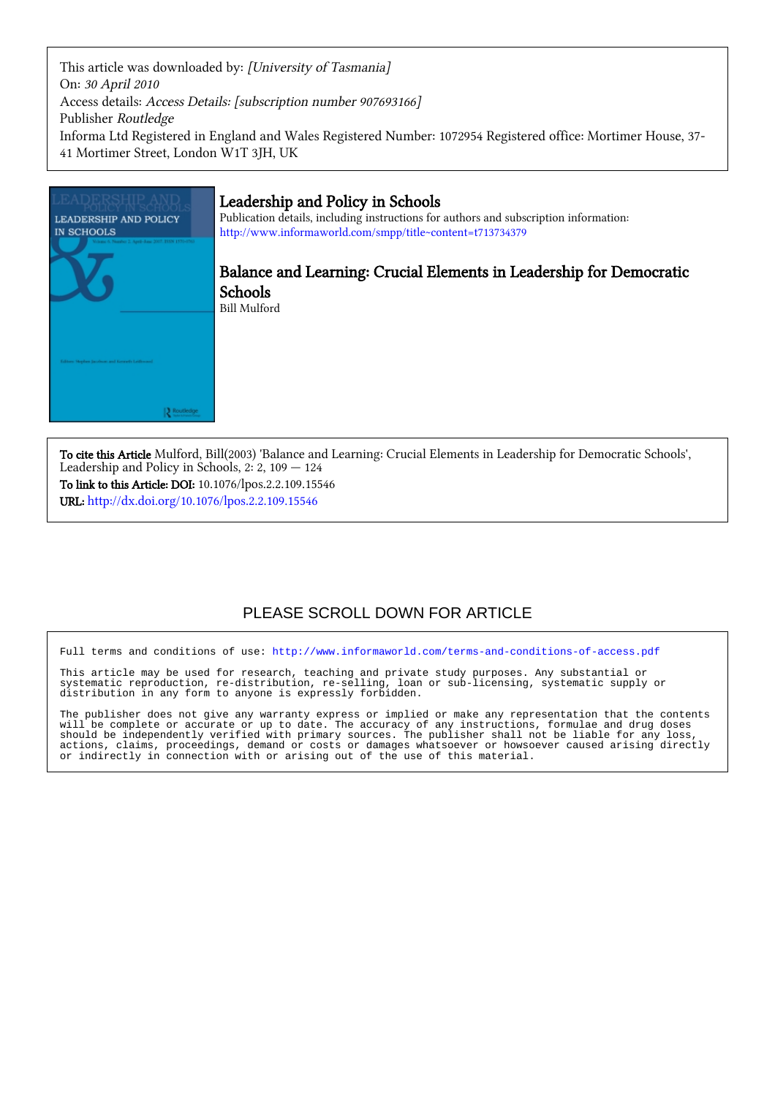This article was downloaded by: [University of Tasmania] On: 30 April 2010 Access details: Access Details: [subscription number 907693166] Publisher Routledge Informa Ltd Registered in England and Wales Registered Number: 1072954 Registered office: Mortimer House, 37- 41 Mortimer Street, London W1T 3JH, UK



To cite this Article Mulford, Bill(2003) 'Balance and Learning: Crucial Elements in Leadership for Democratic Schools', Leadership and Policy in Schools,  $2: 2$ ,  $109 - 124$ 

To link to this Article: DOI: 10.1076/lpos.2.2.109.15546 URL: <http://dx.doi.org/10.1076/lpos.2.2.109.15546>

# PLEASE SCROLL DOWN FOR ARTICLE

Full terms and conditions of use:<http://www.informaworld.com/terms-and-conditions-of-access.pdf>

This article may be used for research, teaching and private study purposes. Any substantial or systematic reproduction, re-distribution, re-selling, loan or sub-licensing, systematic supply or distribution in any form to anyone is expressly forbidden.

The publisher does not give any warranty express or implied or make any representation that the contents will be complete or accurate or up to date. The accuracy of any instructions, formulae and drug doses should be independently verified with primary sources. The publisher shall not be liable for any loss, actions, claims, proceedings, demand or costs or damages whatsoever or howsoever caused arising directly or indirectly in connection with or arising out of the use of this material.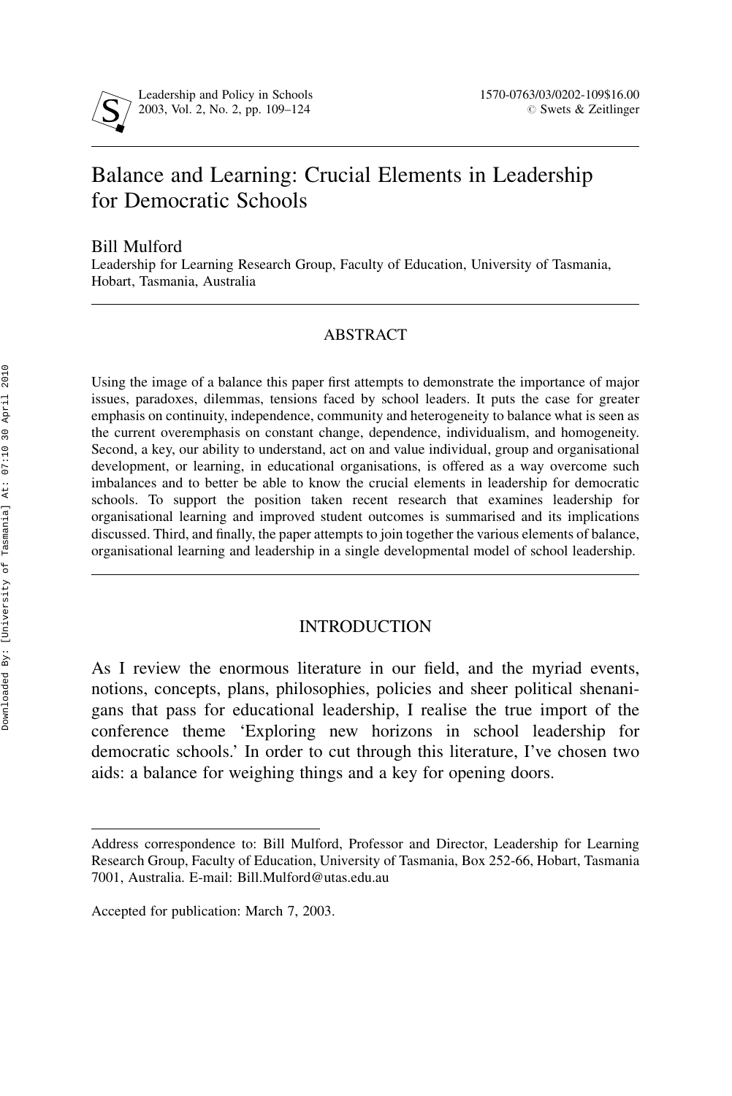

# Balance and Learning: Crucial Elements in Leadership for Democratic Schools

Bill Mulford

Leadership for Learning Research Group, Faculty of Education, University of Tasmania, Hobart, Tasmania, Australia

## ABSTRACT

Using the image of a balance this paper first attempts to demonstrate the importance of major issues, paradoxes, dilemmas, tensions faced by school leaders. It puts the case for greater emphasis on continuity, independence, community and heterogeneity to balance what is seen as the current overemphasis on constant change, dependence, individualism, and homogeneity. Second, a key, our ability to understand, act on and value individual, group and organisational development, or learning, in educational organisations, is offered as a way overcome such imbalances and to better be able to know the crucial elements in leadership for democratic schools. To support the position taken recent research that examines leadership for organisational learning and improved student outcomes is summarised and its implications discussed. Third, and finally, the paper attempts to join together the various elements of balance, organisational learning and leadership in a single developmental model of school leadership.

### INTRODUCTION

As I review the enormous literature in our field, and the myriad events, notions, concepts, plans, philosophies, policies and sheer political shenanigans that pass for educational leadership, I realise the true import of the conference theme 'Exploring new horizons in school leadership for democratic schools.' In order to cut through this literature, I've chosen two aids: a balance for weighing things and a key for opening doors.

Address correspondence to: Bill Mulford, Professor and Director, Leadership for Learning Research Group, Faculty of Education, University of Tasmania, Box 252-66, Hobart, Tasmania 7001, Australia. E-mail: Bill.Mulford@utas.edu.au

Accepted for publication: March 7, 2003.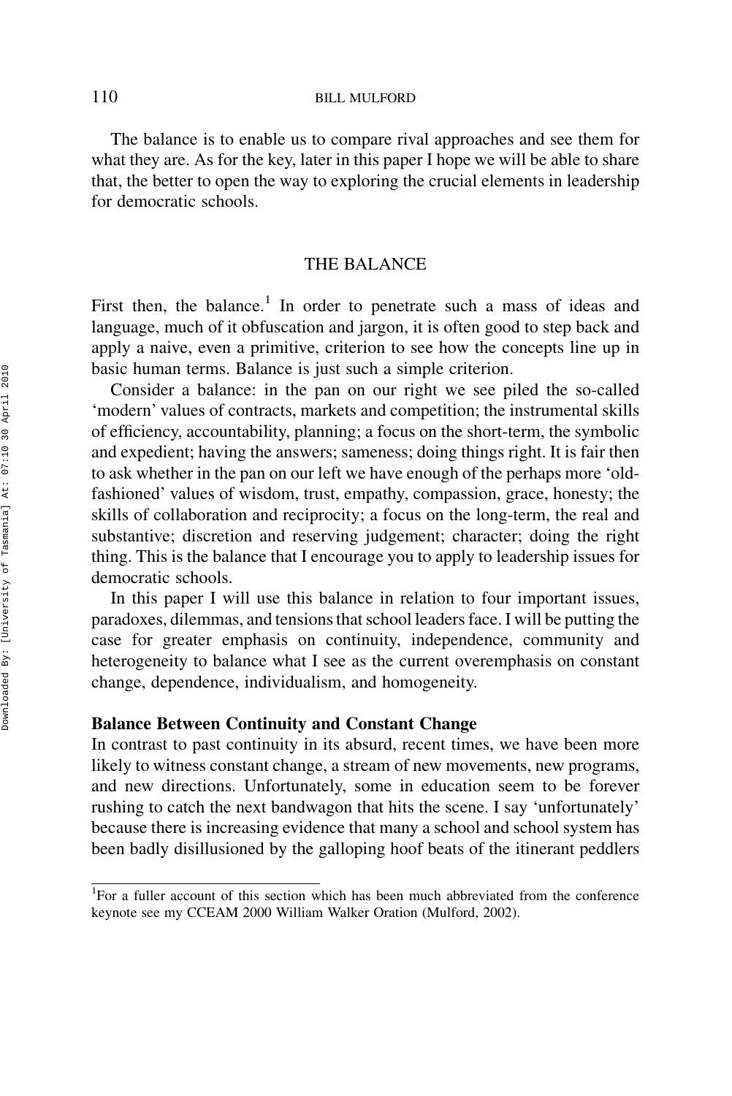The balance is to enable us to compare rival approaches and see them for what they are. As for the key, later in this paper I hope we will be able to share that, the better to open the way to exploring the crucial elements in leadership for democratic schools.

#### THE BALANCE

First then, the balance.<sup>1</sup> In order to penetrate such a mass of ideas and language, much of it obfuscation and jargon, it is often good to step back and apply a naive, even a primitive, criterion to see how the concepts line up in basic human terms. Balance is just such a simple criterion.

Consider a balance: in the pan on our right we see piled the so-called 'modern' values of contracts, markets and competition; the instrumental skills of efficiency, accountability, planning; a focus on the short-term, the symbolic and expedient; having the answers; sameness; doing things right. It is fair then to ask whether in the pan on our left we have enough of the perhaps more 'oldfashioned' values of wisdom, trust, empathy, compassion, grace, honesty; the skills of collaboration and reciprocity; a focus on the long-term, the real and substantive; discretion and reserving judgement; character; doing the right thing. This is the balance that I encourage you to apply to leadership issues for democratic schools.

In this paper I will use this balance in relation to four important issues, paradoxes, dilemmas, and tensions that school leaders face. I will be putting the case for greater emphasis on continuity, independence, community and heterogeneity to balance what I see as the current overemphasis on constant change, dependence, individualism, and homogeneity.

# Balance Between Continuity and Constant Change

In contrast to past continuity in its absurd, recent times, we have been more likely to witness constant change, a stream of new movements, new programs, and new directions. Unfortunately, some in education seem to be forever rushing to catch the next bandwagon that hits the scene. I say 'unfortunately' because there is increasing evidence that many a school and school system has been badly disillusioned by the galloping hoof beats of the itinerant peddlers

<sup>&</sup>lt;sup>1</sup>For a fuller account of this section which has been much abbreviated from the conference keynote see my CCEAM 2000 William Walker Oration (Mulford, 2002).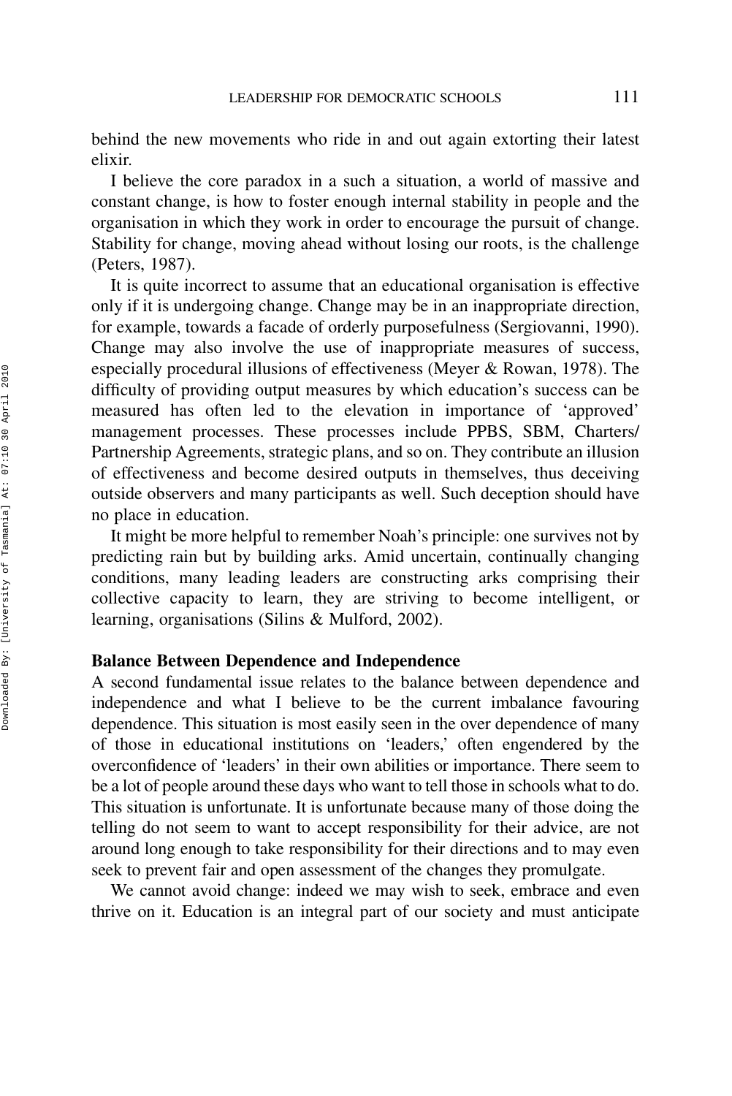behind the new movements who ride in and out again extorting their latest elixir.

I believe the core paradox in a such a situation, a world of massive and constant change, is how to foster enough internal stability in people and the organisation in which they work in order to encourage the pursuit of change. Stability for change, moving ahead without losing our roots, is the challenge (Peters, 1987).

It is quite incorrect to assume that an educational organisation is effective only if it is undergoing change. Change may be in an inappropriate direction, for example, towards a facade of orderly purposefulness (Sergiovanni, 1990). Change may also involve the use of inappropriate measures of success, especially procedural illusions of effectiveness (Meyer & Rowan, 1978). The difficulty of providing output measures by which education's success can be measured has often led to the elevation in importance of 'approved' management processes. These processes include PPBS, SBM, Charters/ Partnership Agreements, strategic plans, and so on. They contribute an illusion of effectiveness and become desired outputs in themselves, thus deceiving outside observers and many participants as well. Such deception should have no place in education.

It might be more helpful to remember Noah's principle: one survives not by predicting rain but by building arks. Amid uncertain, continually changing conditions, many leading leaders are constructing arks comprising their collective capacity to learn, they are striving to become intelligent, or learning, organisations (Silins & Mulford, 2002).

#### Balance Between Dependence and Independence

A second fundamental issue relates to the balance between dependence and independence and what I believe to be the current imbalance favouring dependence. This situation is most easily seen in the over dependence of many of those in educational institutions on 'leaders,' often engendered by the overconfidence of 'leaders' in their own abilities or importance. There seem to be a lot of people around these days who want to tell those in schools what to do. This situation is unfortunate. It is unfortunate because many of those doing the telling do not seem to want to accept responsibility for their advice, are not around long enough to take responsibility for their directions and to may even seek to prevent fair and open assessment of the changes they promulgate.

We cannot avoid change: indeed we may wish to seek, embrace and even thrive on it. Education is an integral part of our society and must anticipate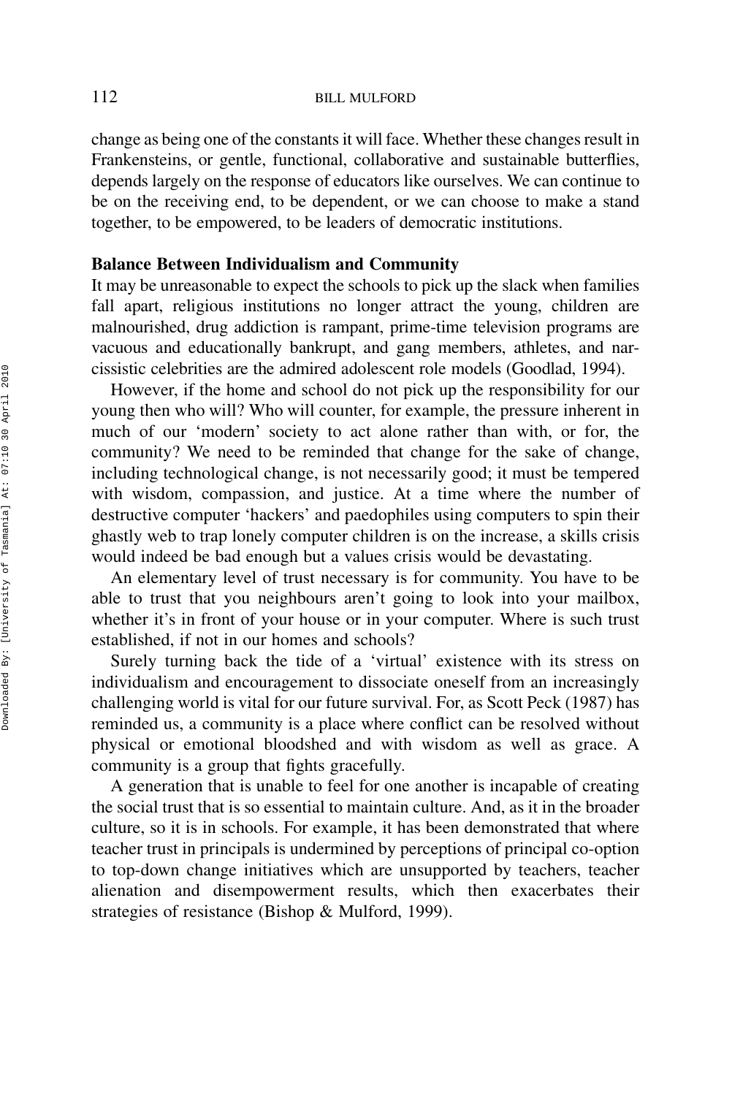change as being one of the constants it will face. Whether these changes result in Frankensteins, or gentle, functional, collaborative and sustainable butterflies, depends largely on the response of educators like ourselves. We can continue to be on the receiving end, to be dependent, or we can choose to make a stand together, to be empowered, to be leaders of democratic institutions.

#### Balance Between Individualism and Community

It may be unreasonable to expect the schools to pick up the slack when families fall apart, religious institutions no longer attract the young, children are malnourished, drug addiction is rampant, prime-time television programs are vacuous and educationally bankrupt, and gang members, athletes, and narcissistic celebrities are the admired adolescent role models (Goodlad, 1994).

However, if the home and school do not pick up the responsibility for our young then who will? Who will counter, for example, the pressure inherent in much of our 'modern' society to act alone rather than with, or for, the community? We need to be reminded that change for the sake of change, including technological change, is not necessarily good; it must be tempered with wisdom, compassion, and justice. At a time where the number of destructive computer 'hackers' and paedophiles using computers to spin their ghastly web to trap lonely computer children is on the increase, a skills crisis would indeed be bad enough but a values crisis would be devastating.

An elementary level of trust necessary is for community. You have to be able to trust that you neighbours aren't going to look into your mailbox, whether it's in front of your house or in your computer. Where is such trust established, if not in our homes and schools?

Surely turning back the tide of a 'virtual' existence with its stress on individualism and encouragement to dissociate oneself from an increasingly challenging world is vital for our future survival. For, as Scott Peck (1987) has reminded us, a community is a place where conflict can be resolved without physical or emotional bloodshed and with wisdom as well as grace. A community is a group that fights gracefully.

A generation that is unable to feel for one another is incapable of creating the social trust that is so essential to maintain culture. And, as it in the broader culture, so it is in schools. For example, it has been demonstrated that where teacher trust in principals is undermined by perceptions of principal co-option to top-down change initiatives which are unsupported by teachers, teacher alienation and disempowerment results, which then exacerbates their strategies of resistance (Bishop & Mulford, 1999).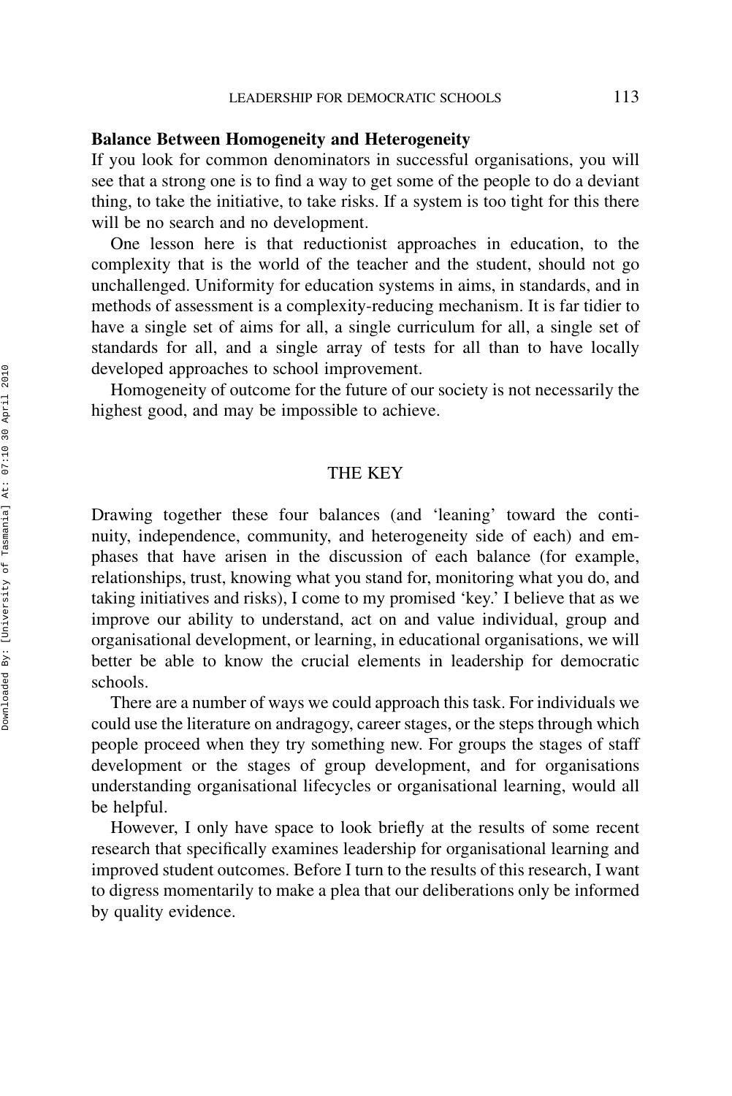#### Balance Between Homogeneity and Heterogeneity

If you look for common denominators in successful organisations, you will see that a strong one is to find a way to get some of the people to do a deviant thing, to take the initiative, to take risks. If a system is too tight for this there will be no search and no development.

One lesson here is that reductionist approaches in education, to the complexity that is the world of the teacher and the student, should not go unchallenged. Uniformity for education systems in aims, in standards, and in methods of assessment is a complexity-reducing mechanism. It is far tidier to have a single set of aims for all, a single curriculum for all, a single set of standards for all, and a single array of tests for all than to have locally developed approaches to school improvement.

Homogeneity of outcome for the future of our society is not necessarily the highest good, and may be impossible to achieve.

#### THE KEY

Drawing together these four balances (and 'leaning' toward the continuity, independence, community, and heterogeneity side of each) and emphases that have arisen in the discussion of each balance (for example, relationships, trust, knowing what you stand for, monitoring what you do, and taking initiatives and risks), I come to my promised 'key.' I believe that as we improve our ability to understand, act on and value individual, group and organisational development, or learning, in educational organisations, we will better be able to know the crucial elements in leadership for democratic schools.

There are a number of ways we could approach this task. For individuals we could use the literature on andragogy, career stages, or the steps through which people proceed when they try something new. For groups the stages of staff development or the stages of group development, and for organisations understanding organisational lifecycles or organisational learning, would all be helpful.

However, I only have space to look briefly at the results of some recent research that specifically examines leadership for organisational learning and improved student outcomes. Before I turn to the results of this research, I want to digress momentarily to make a plea that our deliberations only be informed by quality evidence.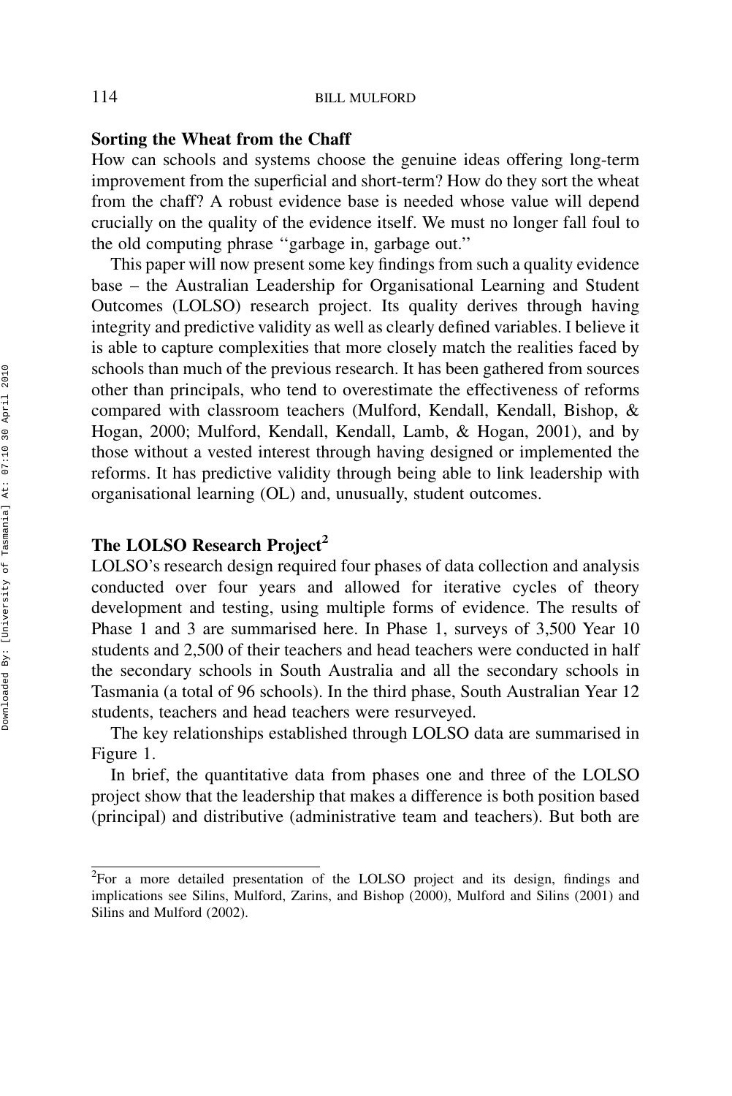#### Sorting the Wheat from the Chaff

How can schools and systems choose the genuine ideas offering long-term improvement from the superficial and short-term? How do they sort the wheat from the chaff? A robust evidence base is needed whose value will depend crucially on the quality of the evidence itself. We must no longer fall foul to the old computing phrase ''garbage in, garbage out.''

This paper will now present some key findings from such a quality evidence base – the Australian Leadership for Organisational Learning and Student Outcomes (LOLSO) research project. Its quality derives through having integrity and predictive validity as well as clearly defined variables. I believe it is able to capture complexities that more closely match the realities faced by schools than much of the previous research. It has been gathered from sources other than principals, who tend to overestimate the effectiveness of reforms compared with classroom teachers (Mulford, Kendall, Kendall, Bishop, & Hogan, 2000; Mulford, Kendall, Kendall, Lamb, & Hogan, 2001), and by those without a vested interest through having designed or implemented the reforms. It has predictive validity through being able to link leadership with organisational learning (OL) and, unusually, student outcomes.

# The LOLSO Research Project<sup>2</sup>

LOLSO's research design required four phases of data collection and analysis conducted over four years and allowed for iterative cycles of theory development and testing, using multiple forms of evidence. The results of Phase 1 and 3 are summarised here. In Phase 1, surveys of 3,500 Year 10 students and 2,500 of their teachers and head teachers were conducted in half the secondary schools in South Australia and all the secondary schools in Tasmania (a total of 96 schools). In the third phase, South Australian Year 12 students, teachers and head teachers were resurveyed.

The key relationships established through LOLSO data are summarised in Figure 1.

In brief, the quantitative data from phases one and three of the LOLSO project show that the leadership that makes a difference is both position based (principal) and distributive (administrative team and teachers). But both are

<sup>&</sup>lt;sup>2</sup>For a more detailed presentation of the LOLSO project and its design, findings and implications see Silins, Mulford, Zarins, and Bishop (2000), Mulford and Silins (2001) and Silins and Mulford (2002).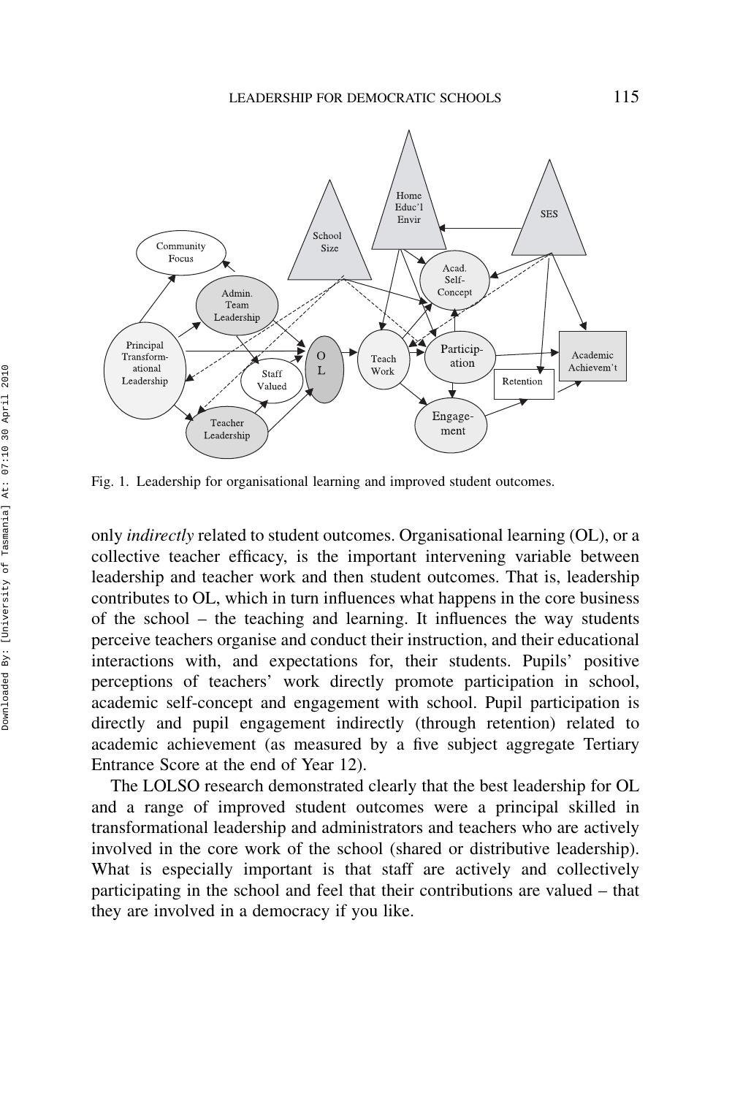

Fig. 1. Leadership for organisational learning and improved student outcomes.

only indirectly related to student outcomes. Organisational learning (OL), or a collective teacher efficacy, is the important intervening variable between leadership and teacher work and then student outcomes. That is, leadership contributes to OL, which in turn influences what happens in the core business of the school – the teaching and learning. It influences the way students perceive teachers organise and conduct their instruction, and their educational interactions with, and expectations for, their students. Pupils' positive perceptions of teachers' work directly promote participation in school, academic self-concept and engagement with school. Pupil participation is directly and pupil engagement indirectly (through retention) related to academic achievement (as measured by a five subject aggregate Tertiary Entrance Score at the end of Year 12).

The LOLSO research demonstrated clearly that the best leadership for OL and a range of improved student outcomes were a principal skilled in transformational leadership and administrators and teachers who are actively involved in the core work of the school (shared or distributive leadership). What is especially important is that staff are actively and collectively participating in the school and feel that their contributions are valued – that they are involved in a democracy if you like.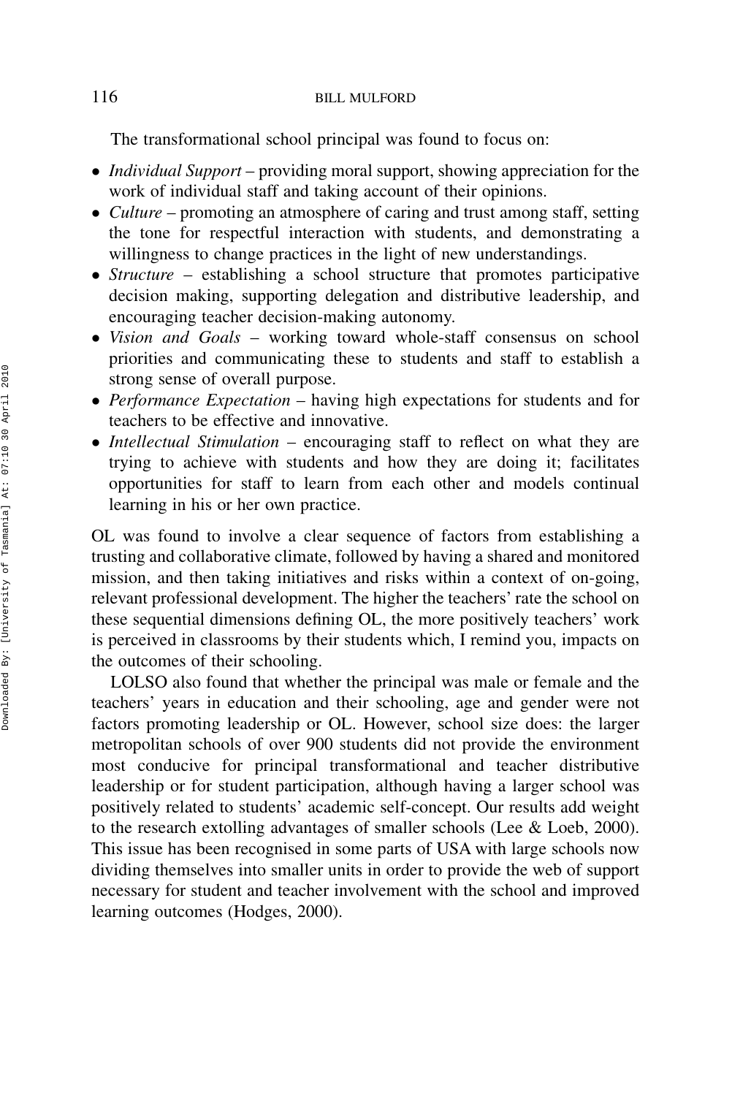### 116 BILL MULFORD

The transformational school principal was found to focus on:

- *Individual Support* providing moral support, showing appreciation for the work of individual staff and taking account of their opinions.
- *Culture* promoting an atmosphere of caring and trust among staff, setting the tone for respectful interaction with students, and demonstrating a willingness to change practices in the light of new understandings.
- Structure establishing a school structure that promotes participative decision making, supporting delegation and distributive leadership, and encouraging teacher decision-making autonomy.
- Vision and Goals working toward whole-staff consensus on school priorities and communicating these to students and staff to establish a strong sense of overall purpose.
- Performance Expectation having high expectations for students and for teachers to be effective and innovative.
- $\bullet$  Intellectual Stimulation encouraging staff to reflect on what they are trying to achieve with students and how they are doing it; facilitates opportunities for staff to learn from each other and models continual learning in his or her own practice.

OL was found to involve a clear sequence of factors from establishing a trusting and collaborative climate, followed by having a shared and monitored mission, and then taking initiatives and risks within a context of on-going, relevant professional development. The higher the teachers' rate the school on these sequential dimensions defining OL, the more positively teachers' work is perceived in classrooms by their students which, I remind you, impacts on the outcomes of their schooling.

LOLSO also found that whether the principal was male or female and the teachers' years in education and their schooling, age and gender were not factors promoting leadership or OL. However, school size does: the larger metropolitan schools of over 900 students did not provide the environment most conducive for principal transformational and teacher distributive leadership or for student participation, although having a larger school was positively related to students' academic self-concept. Our results add weight to the research extolling advantages of smaller schools (Lee & Loeb, 2000). This issue has been recognised in some parts of USA with large schools now dividing themselves into smaller units in order to provide the web of support necessary for student and teacher involvement with the school and improved learning outcomes (Hodges, 2000).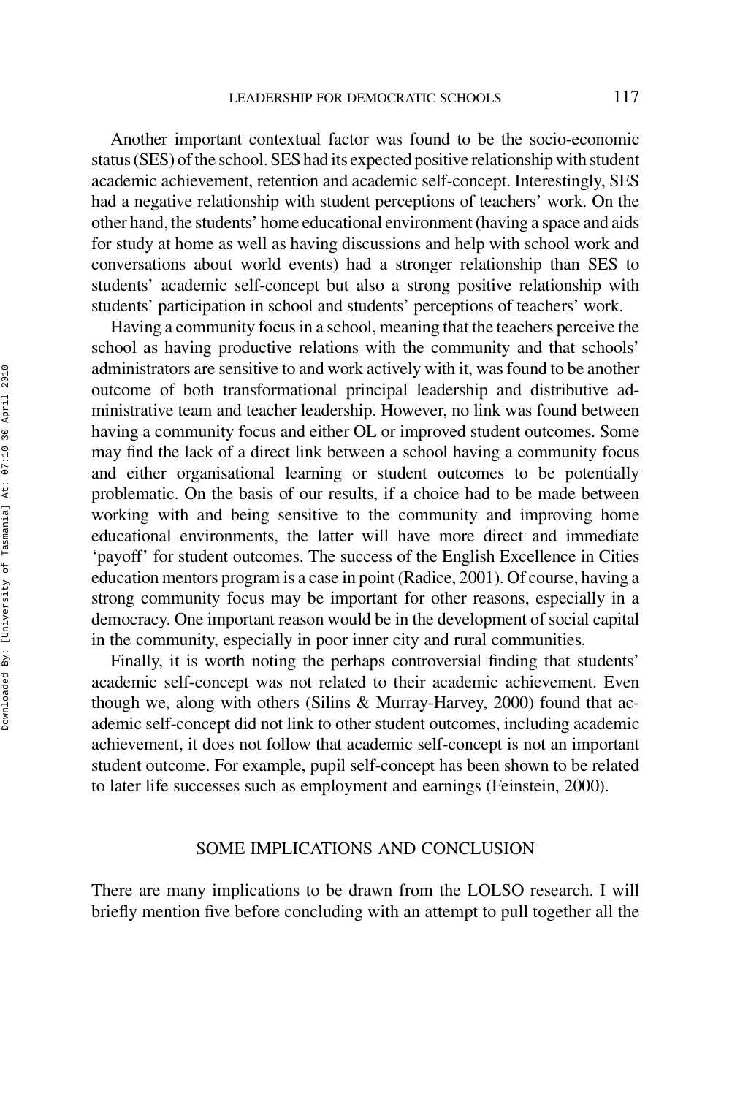Another important contextual factor was found to be the socio-economic status (SES) of the school. SES had its expected positive relationship with student academic achievement, retention and academic self-concept. Interestingly, SES had a negative relationship with student perceptions of teachers' work. On the other hand, the students' home educational environment (having a space and aids for study at home as well as having discussions and help with school work and conversations about world events) had a stronger relationship than SES to students' academic self-concept but also a strong positive relationship with students' participation in school and students' perceptions of teachers' work.

Having a community focus in a school, meaning that the teachers perceive the school as having productive relations with the community and that schools' administrators are sensitive to and work actively with it, was found to be another outcome of both transformational principal leadership and distributive administrative team and teacher leadership. However, no link was found between having a community focus and either OL or improved student outcomes. Some may find the lack of a direct link between a school having a community focus and either organisational learning or student outcomes to be potentially problematic. On the basis of our results, if a choice had to be made between working with and being sensitive to the community and improving home educational environments, the latter will have more direct and immediate 'payoff' for student outcomes. The success of the English Excellence in Cities education mentors program is a case in point (Radice, 2001). Of course, having a strong community focus may be important for other reasons, especially in a democracy. One important reason would be in the development of social capital in the community, especially in poor inner city and rural communities.

Finally, it is worth noting the perhaps controversial finding that students' academic self-concept was not related to their academic achievement. Even though we, along with others (Silins & Murray-Harvey, 2000) found that academic self-concept did not link to other student outcomes, including academic achievement, it does not follow that academic self-concept is not an important student outcome. For example, pupil self-concept has been shown to be related to later life successes such as employment and earnings (Feinstein, 2000).

### SOME IMPLICATIONS AND CONCLUSION

There are many implications to be drawn from the LOLSO research. I will briefly mention five before concluding with an attempt to pull together all the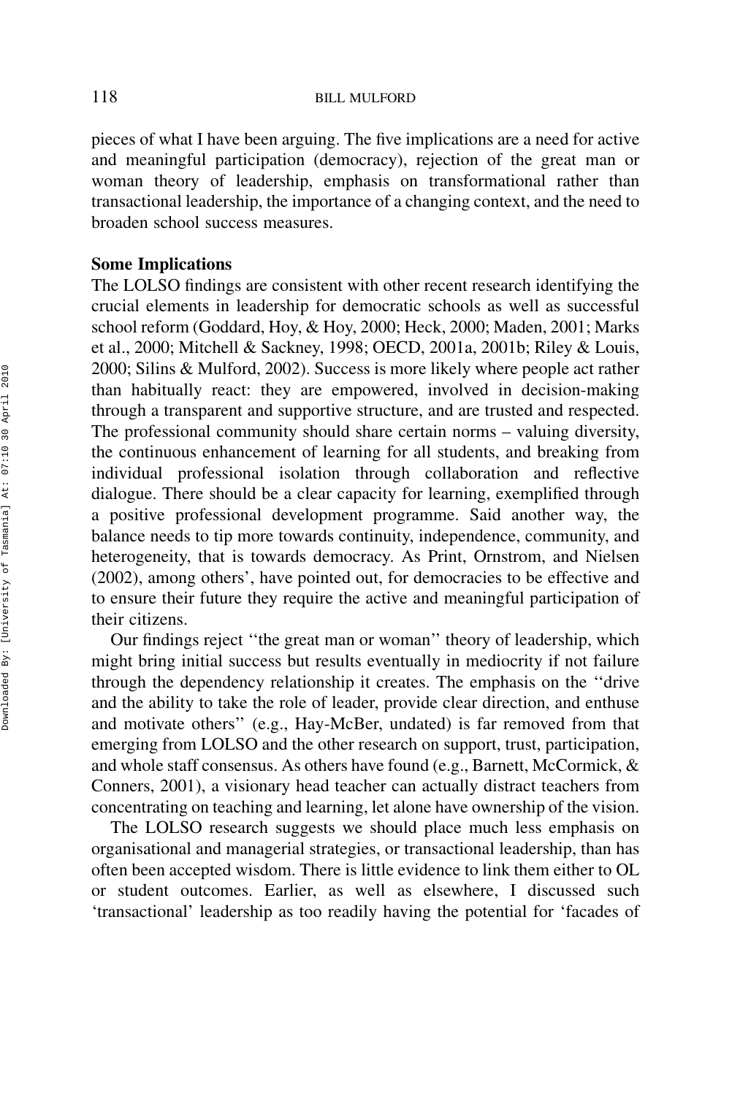pieces of what I have been arguing. The five implications are a need for active and meaningful participation (democracy), rejection of the great man or woman theory of leadership, emphasis on transformational rather than transactional leadership, the importance of a changing context, and the need to broaden school success measures.

## Some Implications

The LOLSO findings are consistent with other recent research identifying the crucial elements in leadership for democratic schools as well as successful school reform (Goddard, Hoy, & Hoy, 2000; Heck, 2000; Maden, 2001; Marks et al., 2000; Mitchell & Sackney, 1998; OECD, 2001a, 2001b; Riley & Louis, 2000; Silins & Mulford, 2002). Success is more likely where people act rather than habitually react: they are empowered, involved in decision-making through a transparent and supportive structure, and are trusted and respected. The professional community should share certain norms – valuing diversity, the continuous enhancement of learning for all students, and breaking from individual professional isolation through collaboration and reflective dialogue. There should be a clear capacity for learning, exemplified through a positive professional development programme. Said another way, the balance needs to tip more towards continuity, independence, community, and heterogeneity, that is towards democracy. As Print, Ornstrom, and Nielsen (2002), among others', have pointed out, for democracies to be effective and to ensure their future they require the active and meaningful participation of their citizens.

Our findings reject ''the great man or woman'' theory of leadership, which might bring initial success but results eventually in mediocrity if not failure through the dependency relationship it creates. The emphasis on the ''drive and the ability to take the role of leader, provide clear direction, and enthuse and motivate others'' (e.g., Hay-McBer, undated) is far removed from that emerging from LOLSO and the other research on support, trust, participation, and whole staff consensus. As others have found (e.g., Barnett, McCormick, & Conners, 2001), a visionary head teacher can actually distract teachers from concentrating on teaching and learning, let alone have ownership of the vision.

The LOLSO research suggests we should place much less emphasis on organisational and managerial strategies, or transactional leadership, than has often been accepted wisdom. There is little evidence to link them either to OL or student outcomes. Earlier, as well as elsewhere, I discussed such 'transactional' leadership as too readily having the potential for 'facades of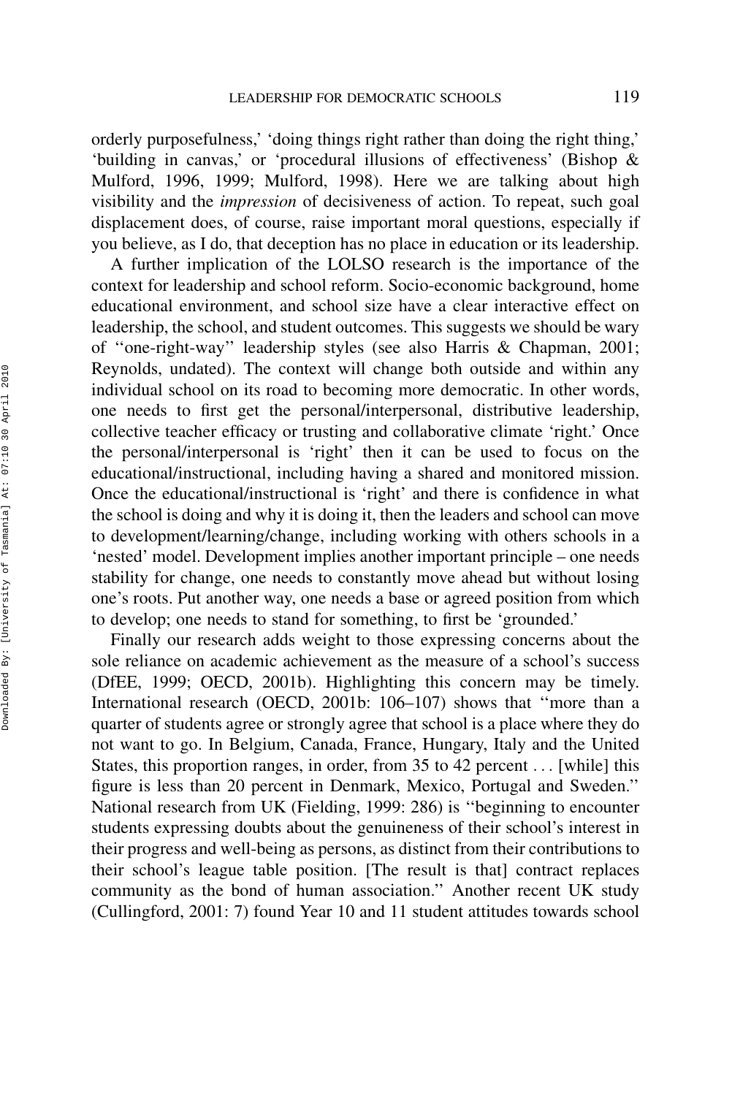orderly purposefulness,' 'doing things right rather than doing the right thing,' 'building in canvas,' or 'procedural illusions of effectiveness' (Bishop & Mulford, 1996, 1999; Mulford, 1998). Here we are talking about high visibility and the impression of decisiveness of action. To repeat, such goal displacement does, of course, raise important moral questions, especially if you believe, as I do, that deception has no place in education or its leadership.

A further implication of the LOLSO research is the importance of the context for leadership and school reform. Socio-economic background, home educational environment, and school size have a clear interactive effect on leadership, the school, and student outcomes. This suggests we should be wary of ''one-right-way'' leadership styles (see also Harris & Chapman, 2001; Reynolds, undated). The context will change both outside and within any individual school on its road to becoming more democratic. In other words, one needs to first get the personal/interpersonal, distributive leadership, collective teacher efficacy or trusting and collaborative climate 'right.' Once the personal/interpersonal is 'right' then it can be used to focus on the educational/instructional, including having a shared and monitored mission. Once the educational/instructional is 'right' and there is confidence in what the school is doing and why it is doing it, then the leaders and school can move to development/learning/change, including working with others schools in a 'nested' model. Development implies another important principle – one needs stability for change, one needs to constantly move ahead but without losing one's roots. Put another way, one needs a base or agreed position from which to develop; one needs to stand for something, to first be 'grounded.'

Finally our research adds weight to those expressing concerns about the sole reliance on academic achievement as the measure of a school's success (DfEE, 1999; OECD, 2001b). Highlighting this concern may be timely. International research (OECD, 2001b: 106–107) shows that ''more than a quarter of students agree or strongly agree that school is a place where they do not want to go. In Belgium, Canada, France, Hungary, Italy and the United States, this proportion ranges, in order, from 35 to 42 percent ... [while] this figure is less than 20 percent in Denmark, Mexico, Portugal and Sweden.'' National research from UK (Fielding, 1999: 286) is ''beginning to encounter students expressing doubts about the genuineness of their school's interest in their progress and well-being as persons, as distinct from their contributions to their school's league table position. [The result is that] contract replaces community as the bond of human association.'' Another recent UK study (Cullingford, 2001: 7) found Year 10 and 11 student attitudes towards school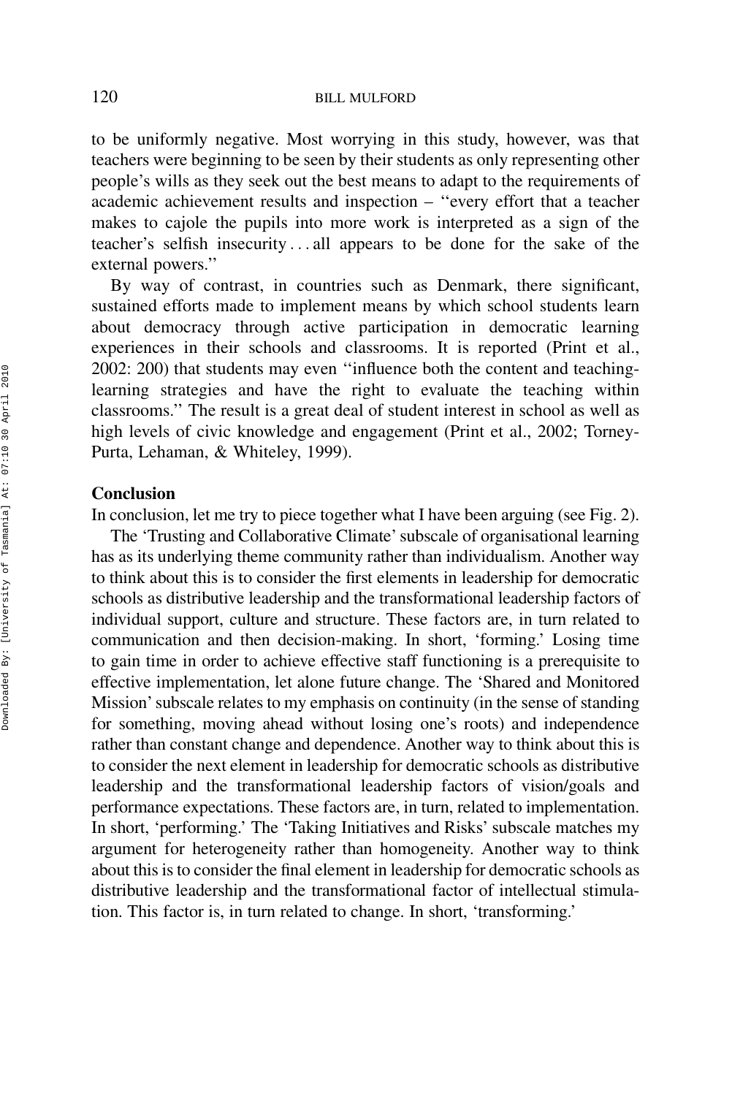to be uniformly negative. Most worrying in this study, however, was that teachers were beginning to be seen by their students as only representing other people's wills as they seek out the best means to adapt to the requirements of academic achievement results and inspection – ''every effort that a teacher makes to cajole the pupils into more work is interpreted as a sign of the teacher's selfish insecurity ... all appears to be done for the sake of the external powers.''

By way of contrast, in countries such as Denmark, there significant, sustained efforts made to implement means by which school students learn about democracy through active participation in democratic learning experiences in their schools and classrooms. It is reported (Print et al., 2002: 200) that students may even ''influence both the content and teachinglearning strategies and have the right to evaluate the teaching within classrooms.'' The result is a great deal of student interest in school as well as high levels of civic knowledge and engagement (Print et al., 2002; Torney-Purta, Lehaman, & Whiteley, 1999).

#### Conclusion

In conclusion, let me try to piece together what I have been arguing (see Fig. 2).

The 'Trusting and Collaborative Climate'subscale of organisational learning has as its underlying theme community rather than individualism. Another way to think about this is to consider the first elements in leadership for democratic schools as distributive leadership and the transformational leadership factors of individual support, culture and structure. These factors are, in turn related to communication and then decision-making. In short, 'forming.' Losing time to gain time in order to achieve effective staff functioning is a prerequisite to effective implementation, let alone future change. The 'Shared and Monitored Mission'subscale relates to my emphasis on continuity (in the sense of standing for something, moving ahead without losing one's roots) and independence rather than constant change and dependence. Another way to think about this is to consider the next element in leadership for democratic schools as distributive leadership and the transformational leadership factors of vision/goals and performance expectations. These factors are, in turn, related to implementation. In short, 'performing.' The 'Taking Initiatives and Risks' subscale matches my argument for heterogeneity rather than homogeneity. Another way to think about this is to consider the final element in leadership for democratic schools as distributive leadership and the transformational factor of intellectual stimulation. This factor is, in turn related to change. In short, 'transforming.'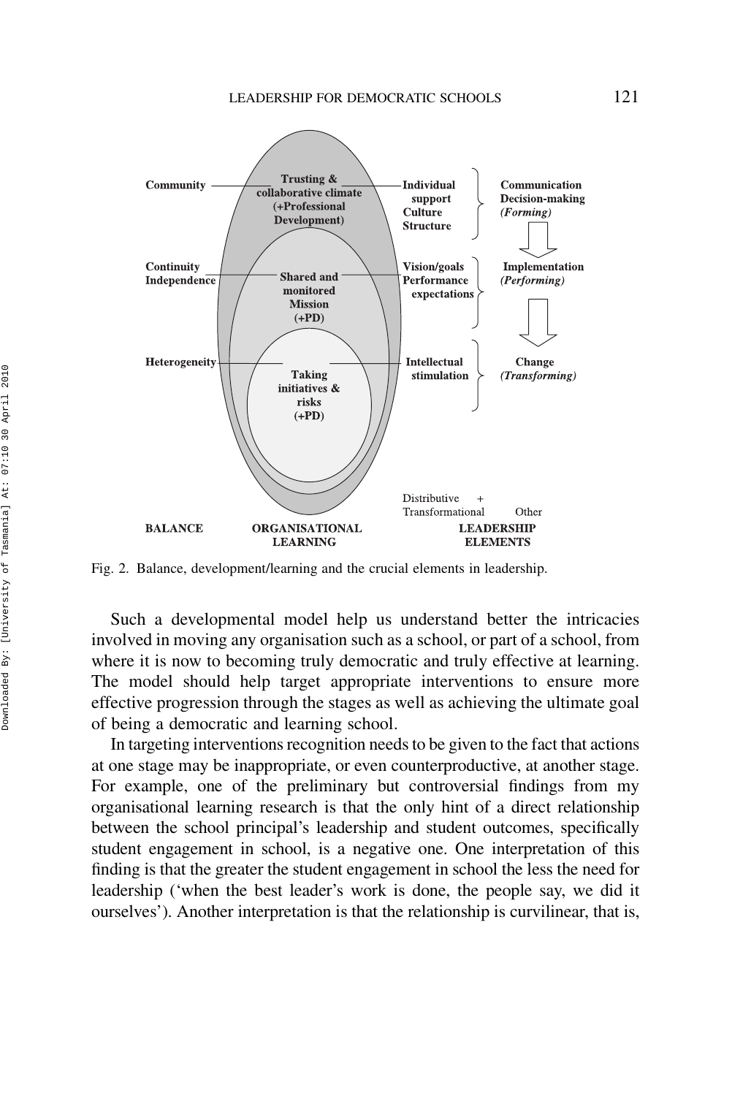

Fig. 2. Balance, development/learning and the crucial elements in leadership.

Such a developmental model help us understand better the intricacies involved in moving any organisation such as a school, or part of a school, from where it is now to becoming truly democratic and truly effective at learning. The model should help target appropriate interventions to ensure more effective progression through the stages as well as achieving the ultimate goal of being a democratic and learning school.

In targeting interventions recognition needs to be given to the fact that actions at one stage may be inappropriate, or even counterproductive, at another stage. For example, one of the preliminary but controversial findings from my organisational learning research is that the only hint of a direct relationship between the school principal's leadership and student outcomes, specifically student engagement in school, is a negative one. One interpretation of this finding is that the greater the student engagement in school the less the need for leadership ('when the best leader's work is done, the people say, we did it ourselves'). Another interpretation is that the relationship is curvilinear, that is,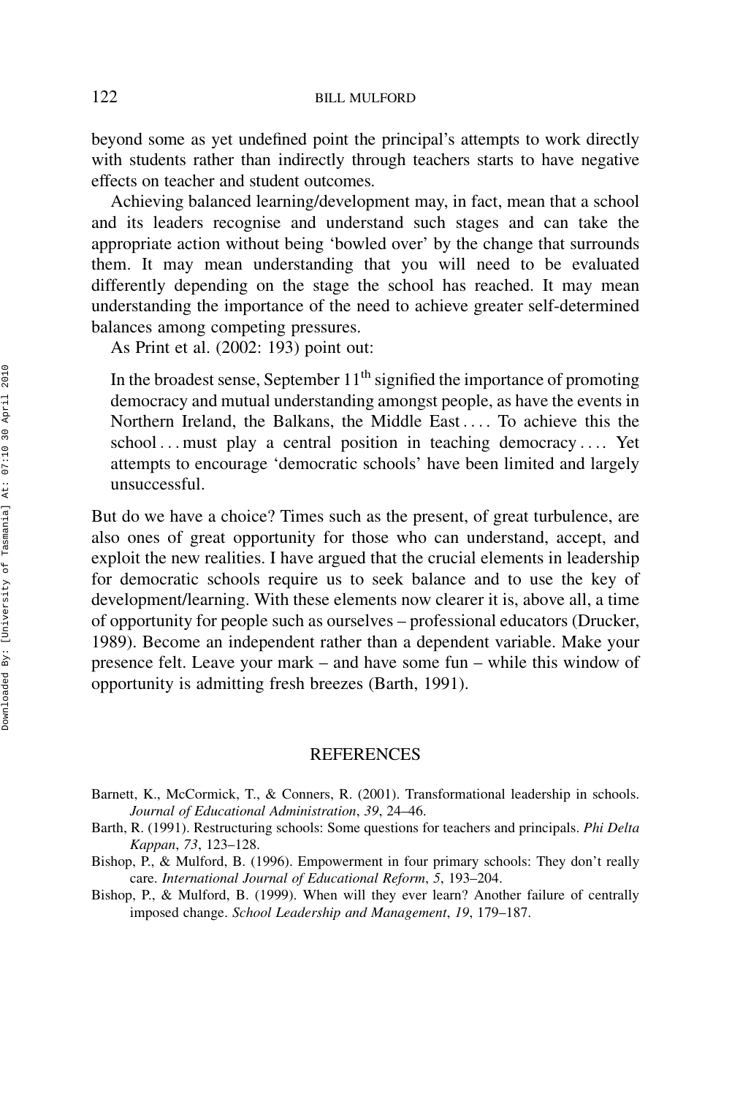beyond some as yet undefined point the principal's attempts to work directly with students rather than indirectly through teachers starts to have negative effects on teacher and student outcomes.

Achieving balanced learning/development may, in fact, mean that a school and its leaders recognise and understand such stages and can take the appropriate action without being 'bowled over' by the change that surrounds them. It may mean understanding that you will need to be evaluated differently depending on the stage the school has reached. It may mean understanding the importance of the need to achieve greater self-determined balances among competing pressures.

As Print et al. (2002: 193) point out:

In the broadest sense, September  $11<sup>th</sup>$  signified the importance of promoting democracy and mutual understanding amongst people, as have the events in Northern Ireland, the Balkans, the Middle East ... . To achieve this the school ... must play a central position in teaching democracy .... Yet attempts to encourage 'democratic schools' have been limited and largely unsuccessful.

But do we have a choice? Times such as the present, of great turbulence, are also ones of great opportunity for those who can understand, accept, and exploit the new realities. I have argued that the crucial elements in leadership for democratic schools require us to seek balance and to use the key of development/learning. With these elements now clearer it is, above all, a time of opportunity for people such as ourselves – professional educators (Drucker, 1989). Become an independent rather than a dependent variable. Make your presence felt. Leave your mark – and have some fun – while this window of opportunity is admitting fresh breezes (Barth, 1991).

#### REFERENCES

Barnett, K., McCormick, T., & Conners, R. (2001). Transformational leadership in schools. Journal of Educational Administration, 39, 24–46.

- Barth, R. (1991). Restructuring schools: Some questions for teachers and principals. Phi Delta Kappan, 73, 123–128.
- Bishop, P., & Mulford, B. (1996). Empowerment in four primary schools: They don't really care. International Journal of Educational Reform, 5, 193–204.
- Bishop, P., & Mulford, B. (1999). When will they ever learn? Another failure of centrally imposed change. School Leadership and Management, 19, 179–187.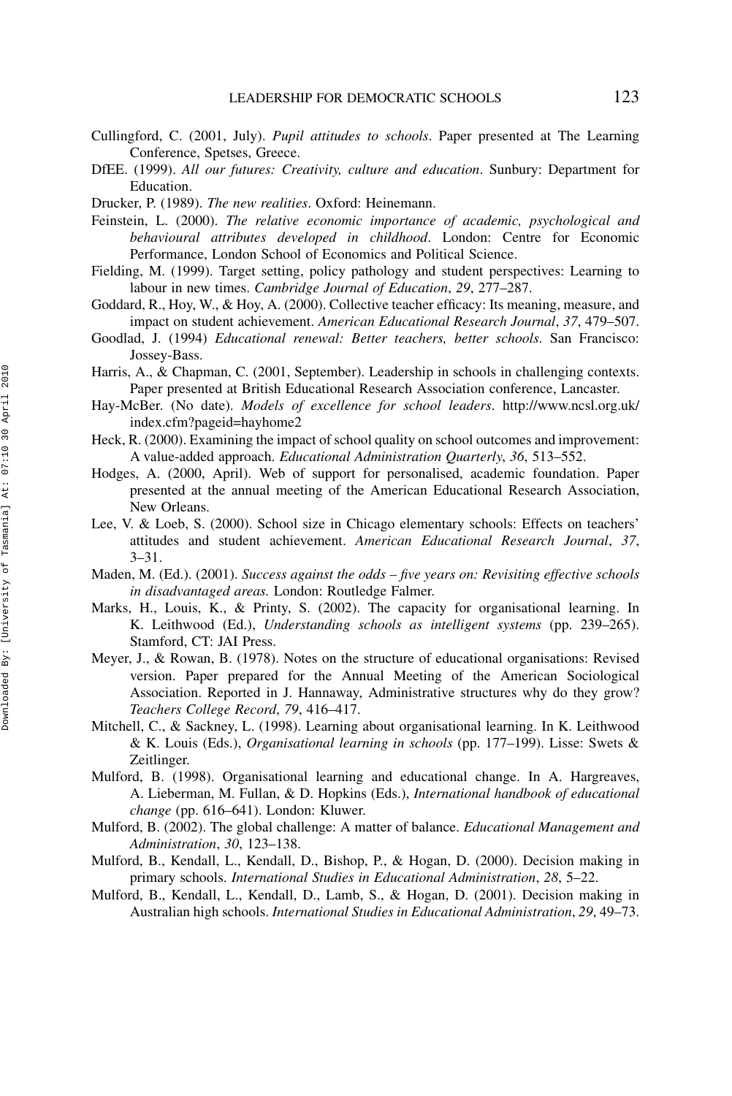- Cullingford, C. (2001, July). Pupil attitudes to schools. Paper presented at The Learning Conference, Spetses, Greece.
- DfEE. (1999). All our futures: Creativity, culture and education. Sunbury: Department for Education.
- Drucker, P. (1989). The new realities. Oxford: Heinemann.
- Feinstein, L. (2000). The relative economic importance of academic, psychological and behavioural attributes developed in childhood. London: Centre for Economic Performance, London School of Economics and Political Science.
- Fielding, M. (1999). Target setting, policy pathology and student perspectives: Learning to labour in new times. Cambridge Journal of Education, 29, 277–287.
- Goddard, R., Hoy, W., & Hoy, A. (2000). Collective teacher efficacy: Its meaning, measure, and impact on student achievement. American Educational Research Journal, 37, 479–507.
- Goodlad, J. (1994) Educational renewal: Better teachers, better schools. San Francisco: Jossey-Bass.
- Harris, A., & Chapman, C. (2001, September). Leadership in schools in challenging contexts. Paper presented at British Educational Research Association conference, Lancaster.
- Hay-McBer. (No date). Models of excellence for school leaders. http://www.ncsl.org.uk/ index.cfm?pageid=hayhome2
- Heck, R. (2000). Examining the impact of school quality on school outcomes and improvement: A value-added approach. Educational Administration Quarterly, 36, 513–552.
- Hodges, A. (2000, April). Web of support for personalised, academic foundation. Paper presented at the annual meeting of the American Educational Research Association, New Orleans.
- Lee, V. & Loeb, S. (2000). School size in Chicago elementary schools: Effects on teachers' attitudes and student achievement. American Educational Research Journal, 37, 3–31.
- Maden, M. (Ed.). (2001). Success against the odds five years on: Revisiting effective schools in disadvantaged areas. London: Routledge Falmer.
- Marks, H., Louis, K., & Printy, S. (2002). The capacity for organisational learning. In K. Leithwood (Ed.), Understanding schools as intelligent systems (pp. 239–265). Stamford, CT: JAI Press.
- Meyer, J., & Rowan, B. (1978). Notes on the structure of educational organisations: Revised version. Paper prepared for the Annual Meeting of the American Sociological Association. Reported in J. Hannaway, Administrative structures why do they grow? Teachers College Record, 79, 416–417.
- Mitchell, C., & Sackney, L. (1998). Learning about organisational learning. In K. Leithwood & K. Louis (Eds.), Organisational learning in schools (pp. 177–199). Lisse: Swets & Zeitlinger.
- Mulford, B. (1998). Organisational learning and educational change. In A. Hargreaves, A. Lieberman, M. Fullan, & D. Hopkins (Eds.), International handbook of educational change (pp. 616–641). London: Kluwer.
- Mulford, B. (2002). The global challenge: A matter of balance. Educational Management and Administration, 30, 123–138.
- Mulford, B., Kendall, L., Kendall, D., Bishop, P., & Hogan, D. (2000). Decision making in primary schools. International Studies in Educational Administration, 28, 5–22.
- Mulford, B., Kendall, L., Kendall, D., Lamb, S., & Hogan, D. (2001). Decision making in Australian high schools. International Studies in Educational Administration, 29, 49–73.